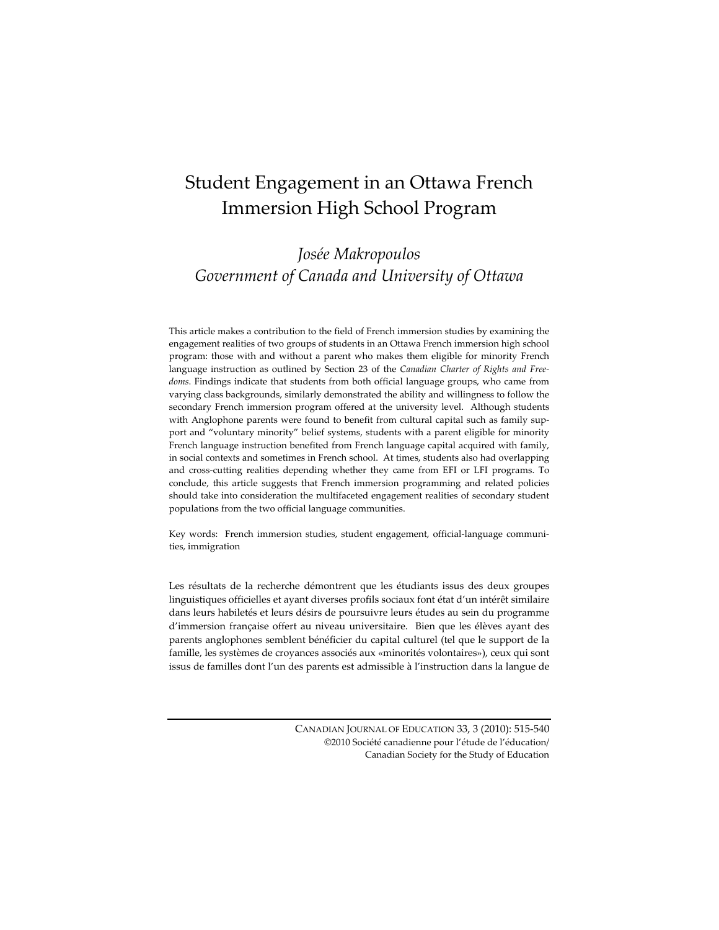# Student Engagement in an Ottawa French Immersion High School Program

*Josée Makropoulos Government of Canada and University of Ottawa*

This article makes a contribution to the field of French immersion studies by examining the engagement realities of two groups of students in an Ottawa French immersion high school program: those with and without a parent who makes them eligible for minority French language instruction as outlined by Section 23 of the *Canadian Charter of Rights and Free‐ doms*. Findings indicate that students from both official language groups, who came from varying class backgrounds, similarly demonstrated the ability and willingness to follow the secondary French immersion program offered at the university level. Although students with Anglophone parents were found to benefit from cultural capital such as family support and "voluntary minority" belief systems, students with a parent eligible for minority French language instruction benefited from French language capital acquired with family, in social contexts and sometimes in French school. At times, students also had overlapping and cross‐cutting realities depending whether they came from EFI or LFI programs. To conclude, this article suggests that French immersion programming and related policies should take into consideration the multifaceted engagement realities of secondary student populations from the two official language communities.

Key words: French immersion studies, student engagement, official-language communities, immigration

Les résultats de la recherche démontrent que les étudiants issus des deux groupes linguistiques officielles et ayant diverses profils sociaux font état d'un intérêt similaire dans leurs habiletés et leurs désirs de poursuivre leurs études au sein du programme d'immersion française offert au niveau universitaire. Bien que les élèves ayant des parents anglophones semblent bénéficier du capital culturel (tel que le support de la famille, les systèmes de croyances associés aux «minorités volontaires»), ceux qui sont issus de familles dont l'un des parents est admissible à l'instruction dans la langue de

> CANADIAN JOURNAL OF EDUCATION 33, 3 (2010): 515‐540 ©2010 Société canadienne pour l'étude de l'éducation/ Canadian Society for the Study of Education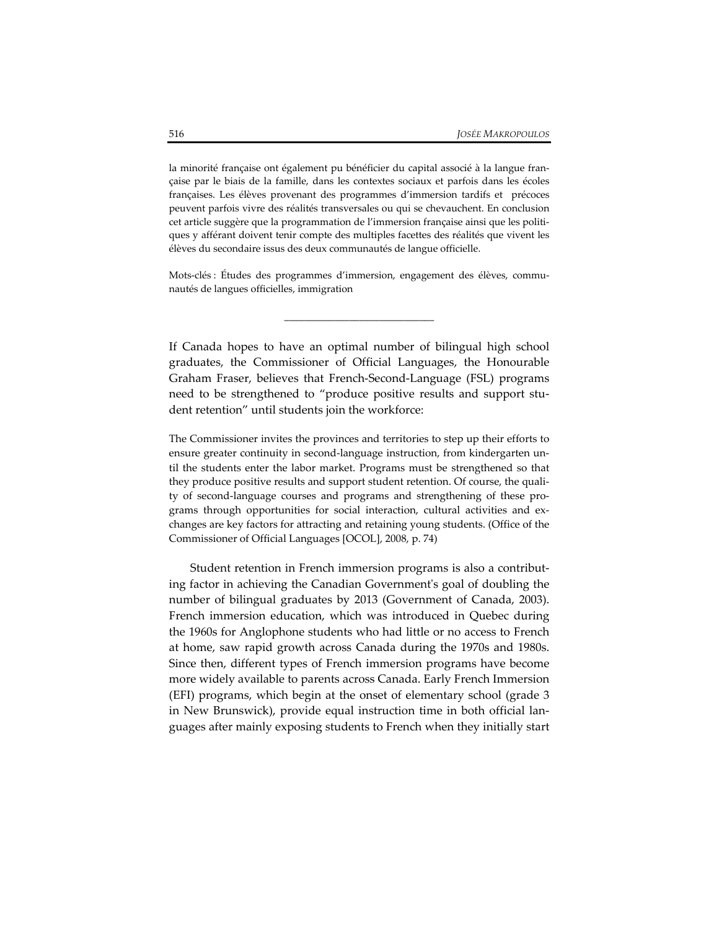la minorité française ont également pu bénéficier du capital associé à la langue fran‐ çaise par le biais de la famille, dans les contextes sociaux et parfois dans les écoles françaises. Les élèves provenant des programmes d'immersion tardifs et précoces peuvent parfois vivre des réalités transversales ou qui se chevauchent. En conclusion cet article suggère que la programmation de l'immersion française ainsi que les politi ques y afférant doivent tenir compte des multiples facettes des réalités que vivent les élèves du secondaire issus des deux communautés de langue officielle.

Mots-clés : Études des programmes d'immersion, engagement des élèves, communautés de langues officielles, immigration

\_\_\_\_\_\_\_\_\_\_\_\_\_\_\_\_\_\_\_\_\_\_\_\_\_\_\_\_\_\_

If Canada hopes to have an optimal number of bilingual high school graduates, the Commissioner of Official Languages, the Honourable Graham Fraser, believes that French‐Second‐Language (FSL) programs need to be strengthened to "produce positive results and support student retention" until students join the workforce:

The Commissioner invites the provinces and territories to step up their efforts to ensure greater continuity in second-language instruction, from kindergarten until the students enter the labor market. Programs must be strengthened so that they produce positive results and support student retention. Of course, the quali‐ ty of second-language courses and programs and strengthening of these programs through opportunities for social interaction, cultural activities and ex‐ changes are key factors for attracting and retaining young students. (Office of the Commissioner of Official Languages [OCOL], 2008, p. 74)

Student retention in French immersion programs is also a contribut‐ ing factor in achieving the Canadian Governmentʹs goal of doubling the number of bilingual graduates by 2013 (Government of Canada, 2003). French immersion education, which was introduced in Quebec during the 1960s for Anglophone students who had little or no access to French at home, saw rapid growth across Canada during the 1970s and 1980s. Since then, different types of French immersion programs have become more widely available to parents across Canada. Early French Immersion (EFI) programs, which begin at the onset of elementary school (grade 3 in New Brunswick), provide equal instruction time in both official languages after mainly exposing students to French when they initially start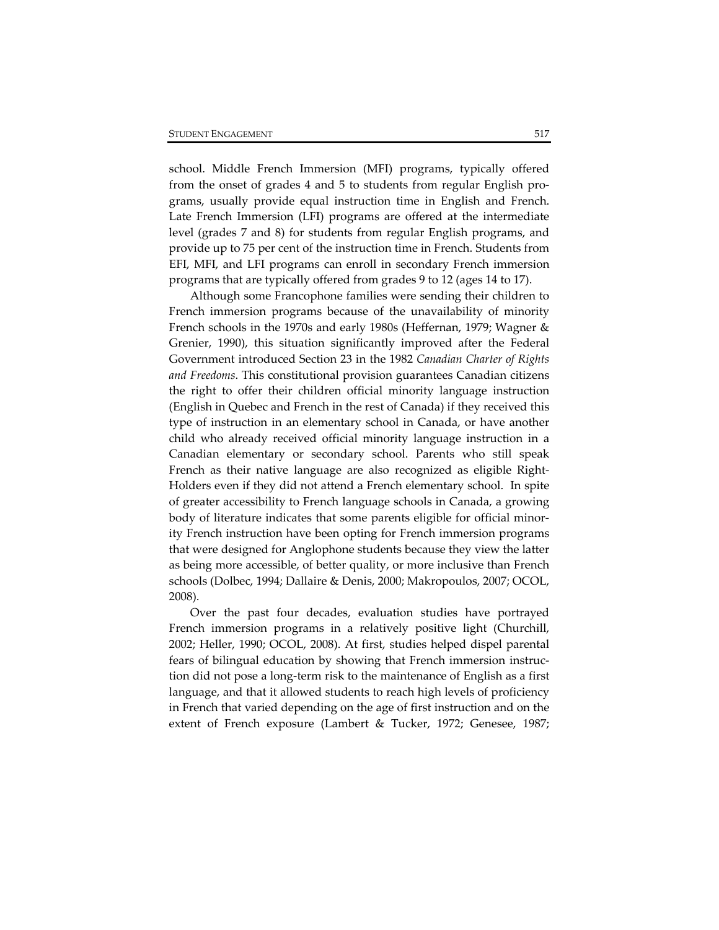school. Middle French Immersion (MFI) programs, typically offered from the onset of grades 4 and 5 to students from regular English pro‐ grams, usually provide equal instruction time in English and French. Late French Immersion (LFI) programs are offered at the intermediate level (grades 7 and 8) for students from regular English programs, and provide up to 75 per cent of the instruction time in French. Students from EFI, MFI, and LFI programs can enroll in secondary French immersion programs that are typically offered from grades 9 to 12 (ages 14 to 17).

Although some Francophone families were sending their children to French immersion programs because of the unavailability of minority French schools in the 1970s and early 1980s (Heffernan, 1979; Wagner & Grenier, 1990), this situation significantly improved after the Federal Government introduced Section 23 in the 1982 *Canadian Charter of Rights and Freedoms*. This constitutional provision guarantees Canadian citizens the right to offer their children official minority language instruction (English in Quebec and French in the rest of Canada) if they received this type of instruction in an elementary school in Canada, or have another child who already received official minority language instruction in a Canadian elementary or secondary school. Parents who still speak French as their native language are also recognized as eligible Right‐ Holders even if they did not attend a French elementary school. In spite of greater accessibility to French language schools in Canada, a growing body of literature indicates that some parents eligible for official minor‐ ity French instruction have been opting for French immersion programs that were designed for Anglophone students because they view the latter as being more accessible, of better quality, or more inclusive than French schools (Dolbec, 1994; Dallaire & Denis, 2000; Makropoulos, 2007; OCOL, 2008).

Over the past four decades, evaluation studies have portrayed French immersion programs in a relatively positive light (Churchill, 2002; Heller, 1990; OCOL, 2008). At first, studies helped dispel parental fears of bilingual education by showing that French immersion instruction did not pose a long‐term risk to the maintenance of English as a first language, and that it allowed students to reach high levels of proficiency in French that varied depending on the age of first instruction and on the extent of French exposure (Lambert & Tucker, 1972; Genesee, 1987;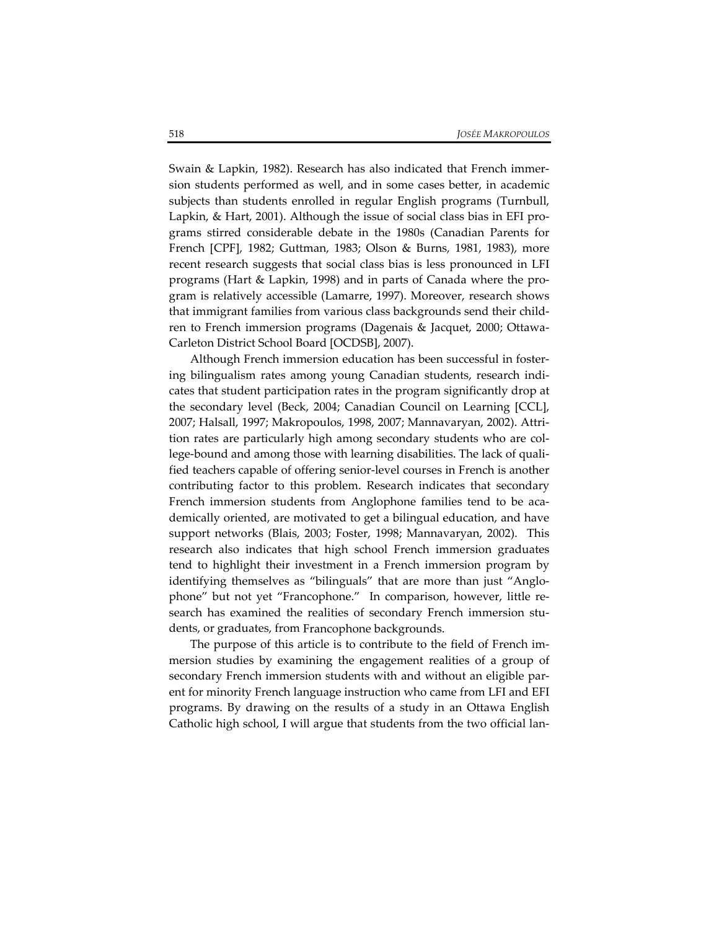Swain & Lapkin, 1982). Research has also indicated that French immer‐ sion students performed as well, and in some cases better, in academic subjects than students enrolled in regular English programs (Turnbull, Lapkin, & Hart, 2001). Although the issue of social class bias in EFI pro‐ grams stirred considerable debate in the 1980s (Canadian Parents for French [CPF], 1982; Guttman, 1983; Olson & Burns, 1981, 1983), more recent research suggests that social class bias is less pronounced in LFI programs (Hart & Lapkin, 1998) and in parts of Canada where the pro‐ gram is relatively accessible (Lamarre, 1997). Moreover, research shows that immigrant families from various class backgrounds send their child‐ ren to French immersion programs (Dagenais & Jacquet, 2000; Ottawa‐ Carleton District School Board [OCDSB], 2007).

Although French immersion education has been successful in foster‐ ing bilingualism rates among young Canadian students, research indi‐ cates that student participation rates in the program significantly drop at the secondary level (Beck, 2004; Canadian Council on Learning [CCL], 2007; Halsall, 1997; Makropoulos, 1998, 2007; Mannavaryan, 2002). Attri‐ tion rates are particularly high among secondary students who are college‐bound and among those with learning disabilities. The lack of quali‐ fied teachers capable of offering senior‐level courses in French is another contributing factor to this problem. Research indicates that secondary French immersion students from Anglophone families tend to be academically oriented, are motivated to get a bilingual education, and have support networks (Blais, 2003; Foster, 1998; Mannavaryan, 2002). This research also indicates that high school French immersion graduates tend to highlight their investment in a French immersion program by identifying themselves as "bilinguals" that are more than just "Anglophone" but not yet "Francophone." In comparison, however, little research has examined the realities of secondary French immersion students, or graduates, from Francophone backgrounds.

The purpose of this article is to contribute to the field of French im‐ mersion studies by examining the engagement realities of a group of secondary French immersion students with and without an eligible parent for minority French language instruction who came from LFI and EFI programs. By drawing on the results of a study in an Ottawa English Catholic high school, I will argue that students from the two official lan‐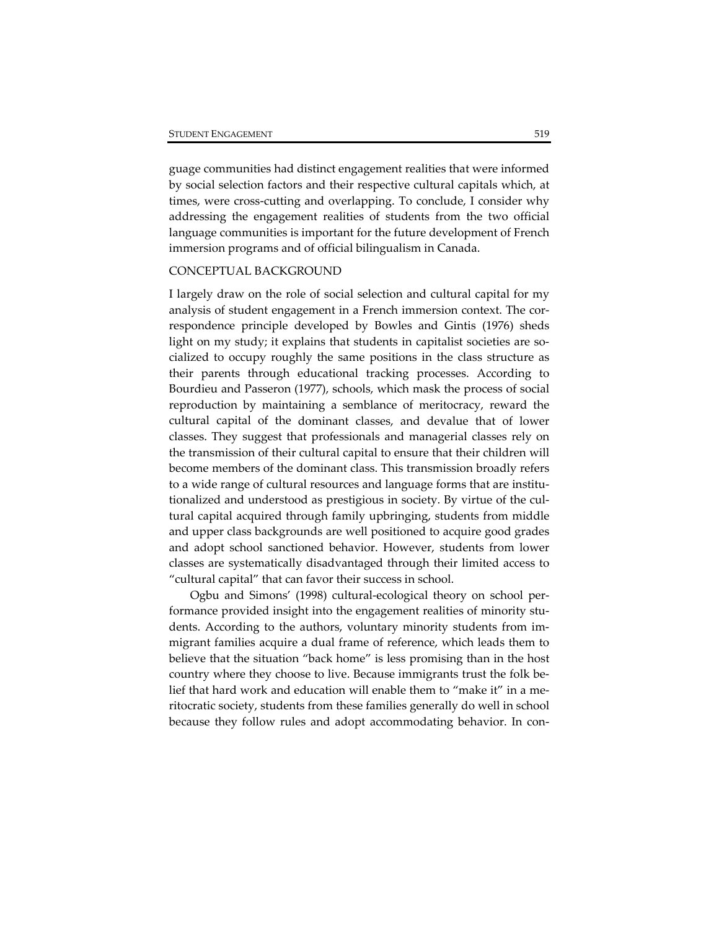guage communities had distinct engagement realities that were informed by social selection factors and their respective cultural capitals which, at times, were cross‐cutting and overlapping. To conclude, I consider why addressing the engagement realities of students from the two official language communities is important for the future development of French immersion programs and of official bilingualism in Canada.

## CONCEPTUAL BACKGROUND

I largely draw on the role of social selection and cultural capital for my analysis of student engagement in a French immersion context. The correspondence principle developed by Bowles and Gintis (1976) sheds light on my study; it explains that students in capitalist societies are socialized to occupy roughly the same positions in the class structure as their parents through educational tracking processes. According to Bourdieu and Passeron (1977), schools, which mask the process of social reproduction by maintaining a semblance of meritocracy, reward the cultural capital of the dominant classes, and devalue that of lower classes. They suggest that professionals and managerial classes rely on the transmission of their cultural capital to ensure that their children will become members of the dominant class. This transmission broadly refers to a wide range of cultural resources and language forms that are institutionalized and understood as prestigious in society. By virtue of the cul‐ tural capital acquired through family upbringing, students from middle and upper class backgrounds are well positioned to acquire good grades and adopt school sanctioned behavior. However, students from lower classes are systematically disadvantaged through their limited access to "cultural capital" that can favor their success in school.

Ogbu and Simons' (1998) cultural‐ecological theory on school per‐ formance provided insight into the engagement realities of minority stu‐ dents. According to the authors, voluntary minority students from im‐ migrant families acquire a dual frame of reference, which leads them to believe that the situation "back home" is less promising than in the host country where they choose to live. Because immigrants trust the folk be‐ lief that hard work and education will enable them to "make it" in a meritocratic society, students from these families generally do well in school because they follow rules and adopt accommodating behavior. In con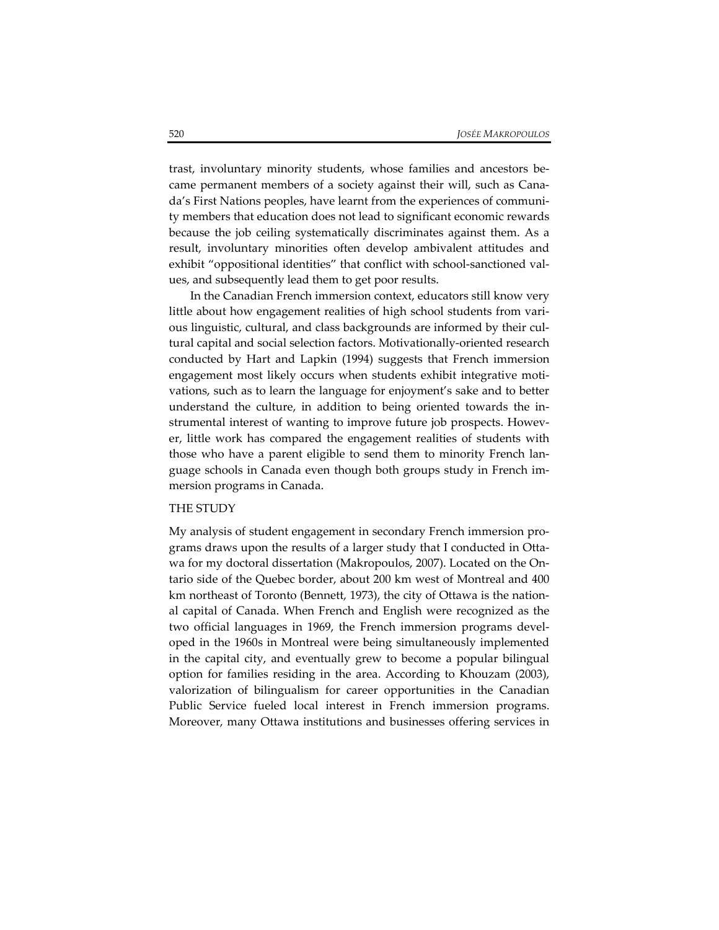trast, involuntary minority students, whose families and ancestors be‐ came permanent members of a society against their will, such as Canada's First Nations peoples, have learnt from the experiences of communi‐ ty members that education does not lead to significant economic rewards because the job ceiling systematically discriminates against them. As a result, involuntary minorities often develop ambivalent attitudes and exhibit "oppositional identities" that conflict with school-sanctioned values, and subsequently lead them to get poor results.

In the Canadian French immersion context, educators still know very little about how engagement realities of high school students from vari‐ ous linguistic, cultural, and class backgrounds are informed by their cul‐ tural capital and social selection factors. Motivationally‐oriented research conducted by Hart and Lapkin (1994) suggests that French immersion engagement most likely occurs when students exhibit integrative motivations, such as to learn the language for enjoyment's sake and to better understand the culture, in addition to being oriented towards the in‐ strumental interest of wanting to improve future job prospects. However, little work has compared the engagement realities of students with those who have a parent eligible to send them to minority French lan‐ guage schools in Canada even though both groups study in French im‐ mersion programs in Canada.

## THE STUDY

My analysis of student engagement in secondary French immersion pro‐ grams draws upon the results of a larger study that I conducted in Ottawa for my doctoral dissertation (Makropoulos, 2007). Located on the On‐ tario side of the Quebec border, about 200 km west of Montreal and 400 km northeast of Toronto (Bennett, 1973), the city of Ottawa is the national capital of Canada. When French and English were recognized as the two official languages in 1969, the French immersion programs developed in the 1960s in Montreal were being simultaneously implemented in the capital city, and eventually grew to become a popular bilingual option for families residing in the area. According to Khouzam (2003), valorization of bilingualism for career opportunities in the Canadian Public Service fueled local interest in French immersion programs. Moreover, many Ottawa institutions and businesses offering services in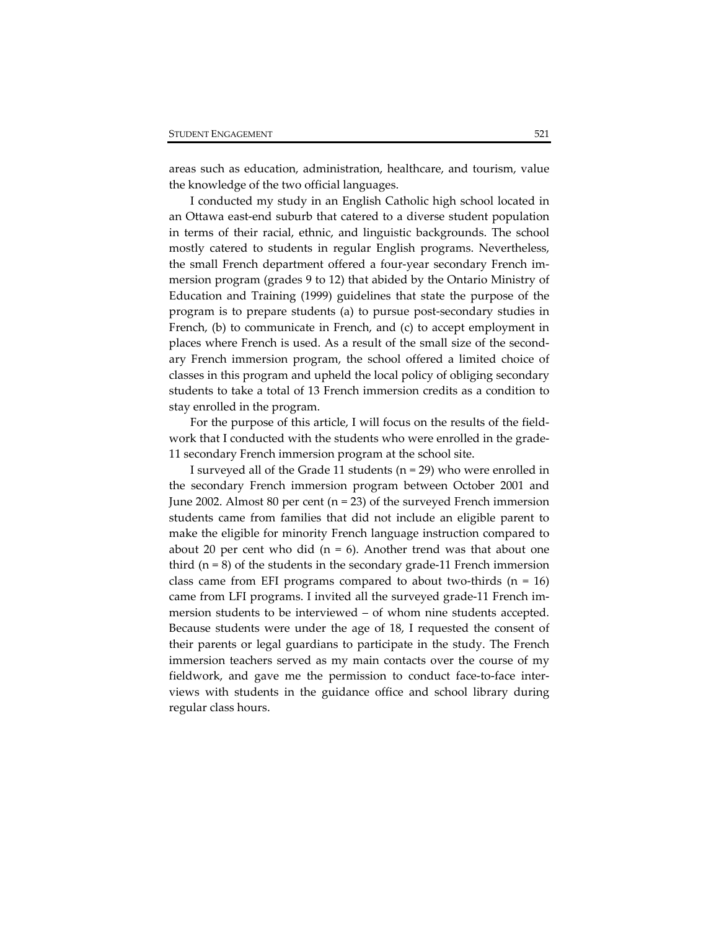areas such as education, administration, healthcare, and tourism, value the knowledge of the two official languages.

I conducted my study in an English Catholic high school located in an Ottawa east‐end suburb that catered to a diverse student population in terms of their racial, ethnic, and linguistic backgrounds. The school mostly catered to students in regular English programs. Nevertheless, the small French department offered a four‐year secondary French im‐ mersion program (grades 9 to 12) that abided by the Ontario Ministry of Education and Training (1999) guidelines that state the purpose of the program is to prepare students (a) to pursue post‐secondary studies in French, (b) to communicate in French, and (c) to accept employment in places where French is used. As a result of the small size of the second‐ ary French immersion program, the school offered a limited choice of classes in this program and upheld the local policy of obliging secondary students to take a total of 13 French immersion credits as a condition to stay enrolled in the program.

For the purpose of this article, I will focus on the results of the fieldwork that I conducted with the students who were enrolled in the grade-11 secondary French immersion program at the school site.

I surveyed all of the Grade 11 students (n = 29) who were enrolled in the secondary French immersion program between October 2001 and June 2002. Almost 80 per cent ( $n = 23$ ) of the surveyed French immersion students came from families that did not include an eligible parent to make the eligible for minority French language instruction compared to about 20 per cent who did  $(n = 6)$ . Another trend was that about one third  $(n = 8)$  of the students in the secondary grade-11 French immersion class came from EFI programs compared to about two-thirds  $(n = 16)$ came from LFI programs. I invited all the surveyed grade‐11 French im‐ mersion students to be interviewed – of whom nine students accepted. Because students were under the age of 18, I requested the consent of their parents or legal guardians to participate in the study. The French immersion teachers served as my main contacts over the course of my fieldwork, and gave me the permission to conduct face-to-face interviews with students in the guidance office and school library during regular class hours.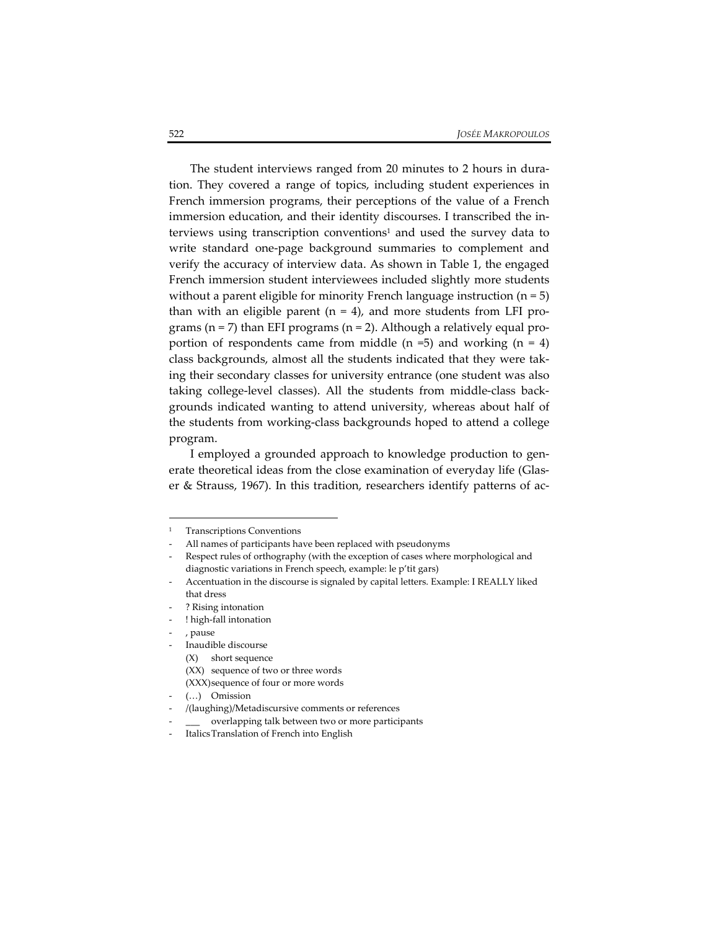The student interviews ranged from 20 minutes to 2 hours in duration. They covered a range of topics, including student experiences in French immersion programs, their perceptions of the value of a French immersion education, and their identity discourses. I transcribed the in‐ terviews using transcription conventions<sup>1</sup> and used the survey data to write standard one‐page background summaries to complement and verify the accuracy of interview data. As shown in Table 1, the engaged French immersion student interviewees included slightly more students without a parent eligible for minority French language instruction  $(n = 5)$ than with an eligible parent ( $n = 4$ ), and more students from LFI programs ( $n = 7$ ) than EFI programs ( $n = 2$ ). Although a relatively equal proportion of respondents came from middle  $(n = 5)$  and working  $(n = 4)$ class backgrounds, almost all the students indicated that they were tak‐ ing their secondary classes for university entrance (one student was also taking college‐level classes). All the students from middle‐class back‐ grounds indicated wanting to attend university, whereas about half of the students from working‐class backgrounds hoped to attend a college program.

I employed a grounded approach to knowledge production to generate theoretical ideas from the close examination of everyday life (Glaser & Strauss, 1967). In this tradition, researchers identify patterns of ac‐

‐ , pause

 $\overline{a}$ 

- ‐ Inaudible discourse
	- (X) short sequence
	- (XX) sequence of two or three words
	- (XXX)sequence of four or more words
- ‐ (…) Omission
- ‐ /(laughing)/Metadiscursive comments or references
	- overlapping talk between two or more participants
- ‐ ItalicsTranslation of French into English

**Transcriptions Conventions** 

All names of participants have been replaced with pseudonyms

Respect rules of orthography (with the exception of cases where morphological and diagnostic variations in French speech, example: le p'tit gars)

<sup>‐</sup>  Accentuation in the discourse is signaled by capital letters. Example: I REALLY liked that dress

<sup>?</sup> Rising intonation

<sup>!</sup> high-fall intonation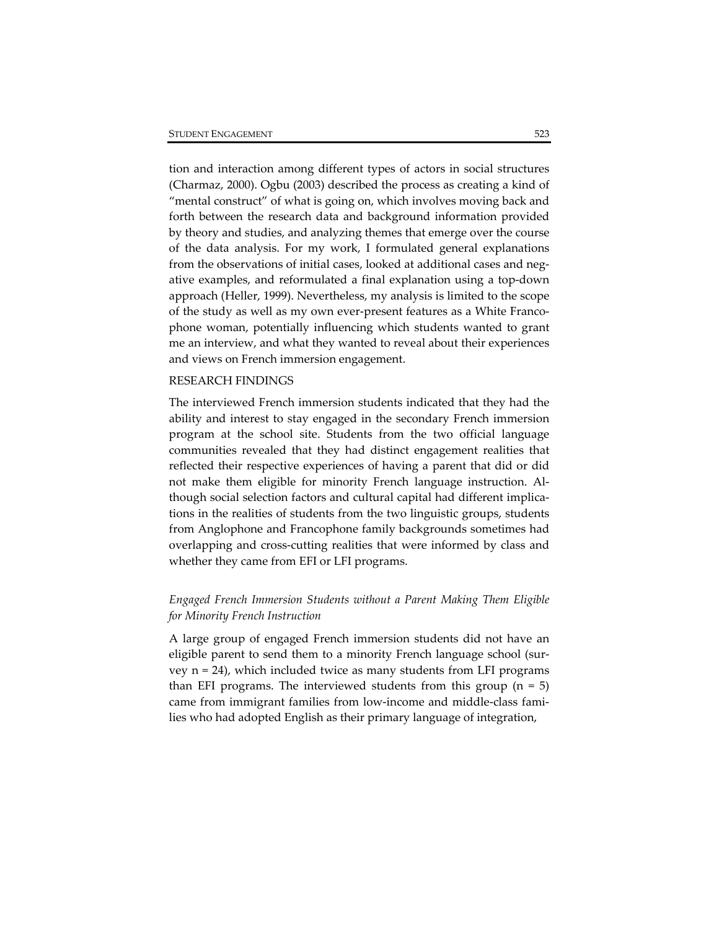tion and interaction among different types of actors in social structures (Charmaz, 2000). Ogbu (2003) described the process as creating a kind of "mental construct" of what is going on, which involves moving back and forth between the research data and background information provided by theory and studies, and analyzing themes that emerge over the course of the data analysis. For my work, I formulated general explanations from the observations of initial cases, looked at additional cases and negative examples, and reformulated a final explanation using a top‐down approach (Heller, 1999). Nevertheless, my analysis is limited to the scope of the study as well as my own ever-present features as a White Francophone woman, potentially influencing which students wanted to grant me an interview, and what they wanted to reveal about their experiences and views on French immersion engagement.

### RESEARCH FINDINGS

The interviewed French immersion students indicated that they had the ability and interest to stay engaged in the secondary French immersion program at the school site. Students from the two official language communities revealed that they had distinct engagement realities that reflected their respective experiences of having a parent that did or did not make them eligible for minority French language instruction. Al‐ though social selection factors and cultural capital had different implica‐ tions in the realities of students from the two linguistic groups, students from Anglophone and Francophone family backgrounds sometimes had overlapping and cross‐cutting realities that were informed by class and whether they came from EFI or LFI programs.

# *Engaged French Immersion Students without a Parent Making Them Eligible for Minority French Instruction*

A large group of engaged French immersion students did not have an eligible parent to send them to a minority French language school (sur‐ vey n = 24), which included twice as many students from LFI programs than EFI programs. The interviewed students from this group ( $n = 5$ ) came from immigrant families from low‐income and middle‐class fami‐ lies who had adopted English as their primary language of integration,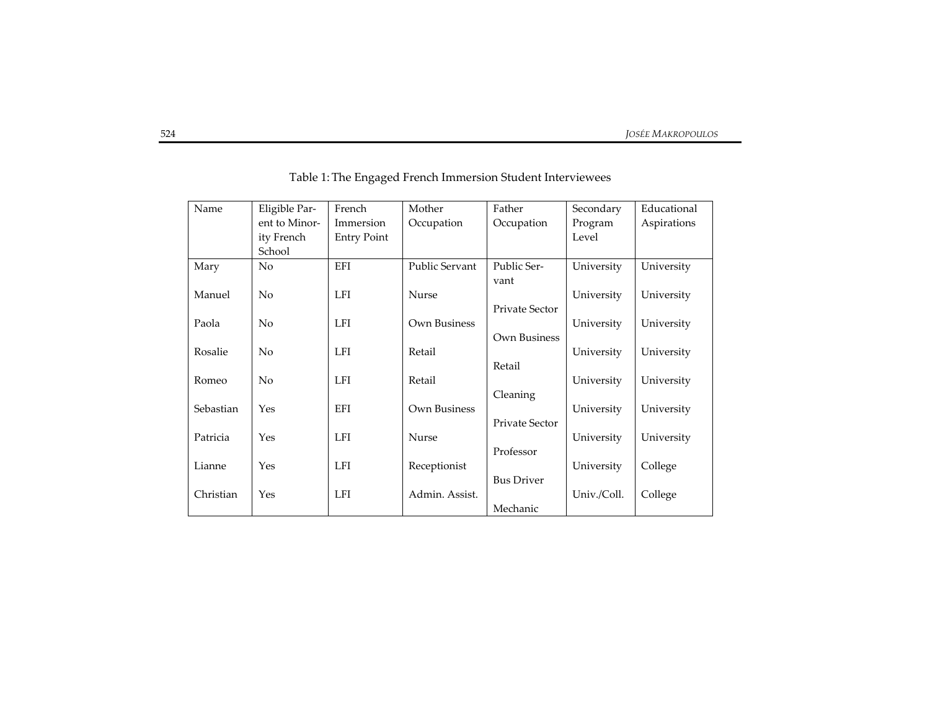| Name      | Eligible Par- | French             | Mother                | Father                | Secondary   | Educational |
|-----------|---------------|--------------------|-----------------------|-----------------------|-------------|-------------|
|           | ent to Minor- | Immersion          | Occupation            | Occupation            | Program     | Aspirations |
|           | ity French    | <b>Entry Point</b> |                       |                       | Level       |             |
|           | School        |                    |                       |                       |             |             |
| Mary      | No            | EFI                | <b>Public Servant</b> | Public Ser-           | University  | University  |
|           |               |                    |                       | vant                  |             |             |
| Manuel    | No            | LFI                | Nurse                 |                       | University  | University  |
|           |               |                    |                       | <b>Private Sector</b> |             |             |
| Paola     | No            | <b>LFI</b>         | Own Business          |                       | University  | University  |
|           |               |                    |                       | Own Business          |             |             |
| Rosalie   | No            | LFI                | Retail                |                       | University  | University  |
|           |               |                    |                       | Retail                |             |             |
| Romeo     | No            | LFI                | Retail                |                       | University  | University  |
|           |               |                    |                       | Cleaning              |             |             |
| Sebastian | Yes           | EFI                | Own Business          |                       | University  | University  |
|           |               |                    |                       | Private Sector        |             |             |
| Patricia  | Yes           | LFI                | Nurse                 |                       | University  | University  |
|           |               |                    |                       | Professor             |             |             |
| Lianne    | Yes           | <b>LFI</b>         | Receptionist          |                       | University  | College     |
|           |               |                    |                       | <b>Bus Driver</b>     |             |             |
| Christian | Yes           | <b>LFI</b>         | Admin. Assist.        |                       | Univ./Coll. | College     |
|           |               |                    |                       | Mechanic              |             |             |

Table 1: The Engaged French Immersion Student Interviewees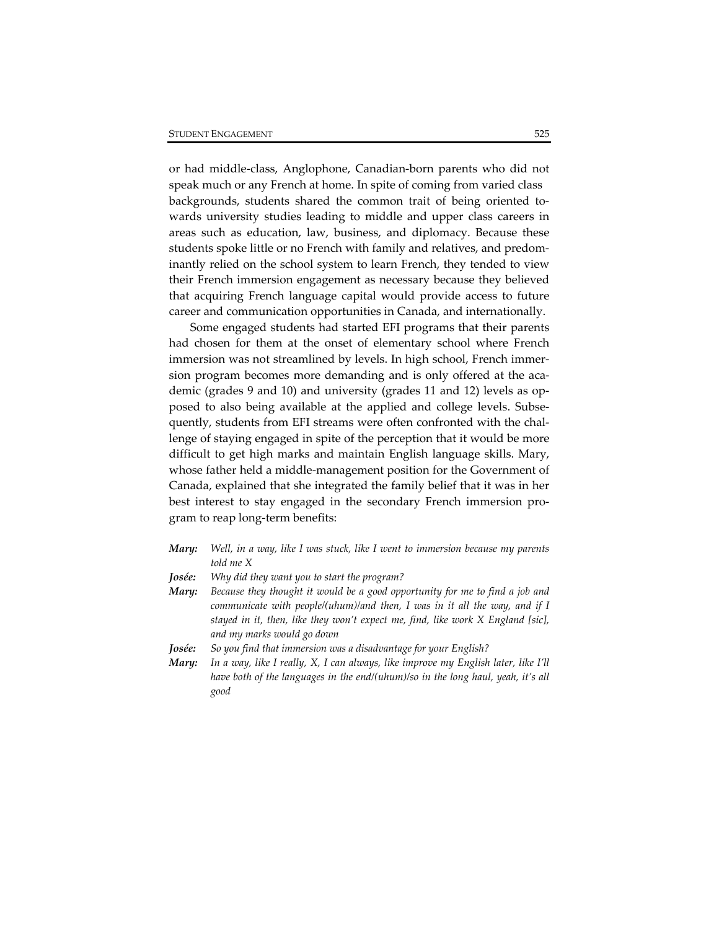or had middle‐class, Anglophone, Canadian‐born parents who did not speak much or any French at home. In spite of coming from varied class backgrounds, students shared the common trait of being oriented to‐ wards university studies leading to middle and upper class careers in areas such as education, law, business, and diplomacy. Because these students spoke little or no French with family and relatives, and predom‐ inantly relied on the school system to learn French, they tended to view their French immersion engagement as necessary because they believed that acquiring French language capital would provide access to future career and communication opportunities in Canada, and internationally.

Some engaged students had started EFI programs that their parents had chosen for them at the onset of elementary school where French immersion was not streamlined by levels. In high school, French immersion program becomes more demanding and is only offered at the academic (grades 9 and 10) and university (grades 11 and 12) levels as op‐ posed to also being available at the applied and college levels. Subsequently, students from EFI streams were often confronted with the challenge of staying engaged in spite of the perception that it would be more difficult to get high marks and maintain English language skills. Mary, whose father held a middle‐management position for the Government of Canada, explained that she integrated the family belief that it was in her best interest to stay engaged in the secondary French immersion pro‐ gram to reap long‐term benefits:

- *Mary: Well, in a way, like I was stuck, like I went to immersion because my parents told me X*
- *Josée: Why did they want you to start the program?*
- *Mary: Because they thought it would be a good opportunity for me to find a job and communicate with people/(uhum)/and then, I was in it all the way, and if I stayed in it, then, like they won't expect me, find, like work X England [sic], and my marks would go down*
- *Josée: So you find that immersion was a disadvantage for your English?*
- *Mary: In a way, like I really, X, I can always, like improve my English later, like I'll have both of the languages in the end/(uhum)/so in the long haul, yeah, it's all good*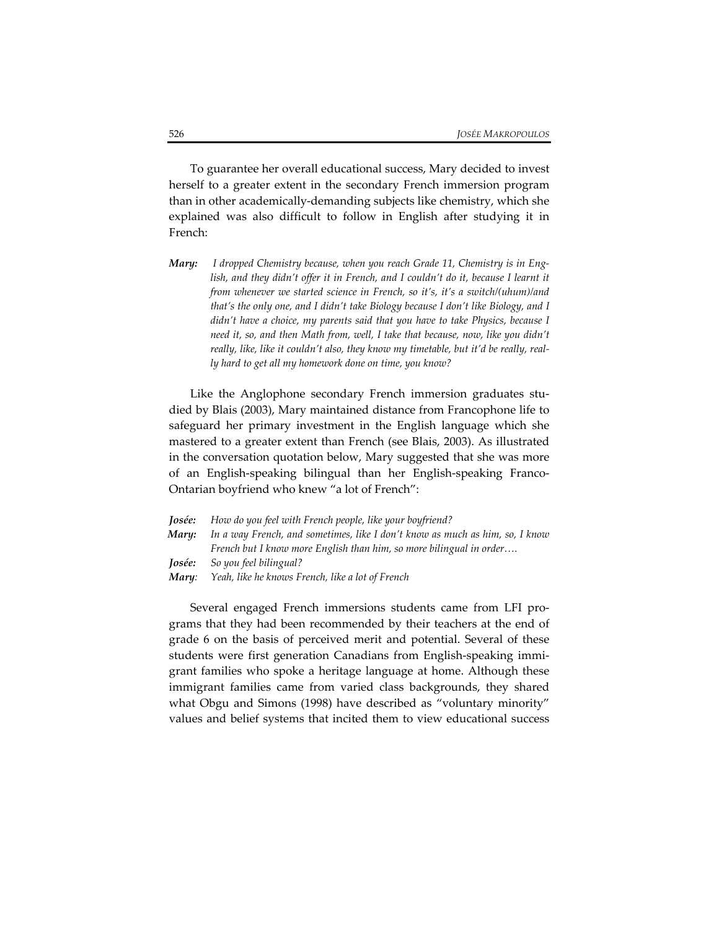To guarantee her overall educational success, Mary decided to invest herself to a greater extent in the secondary French immersion program than in other academically‐demanding subjects like chemistry, which she explained was also difficult to follow in English after studying it in French:

*Mary: I dropped Chemistry because, when you reach Grade 11, Chemistry is in Eng‐ lish, and they didn't offer it in French, and I couldn't do it, because I learnt it from whenever we started science in French, so it's, it's a switch/(uhum)/and that's the only one, and I didn't take Biology because I don't like Biology, and I didn't have a choice, my parents said that you have to take Physics, because I need it, so, and then Math from, well, I take that because, now, like you didn't really, like, like it couldn't also, they know my timetable, but it'd be really, real‐ ly hard to get all my homework done on time, you know?*

Like the Anglophone secondary French immersion graduates studied by Blais (2003), Mary maintained distance from Francophone life to safeguard her primary investment in the English language which she mastered to a greater extent than French (see Blais, 2003). As illustrated in the conversation quotation below, Mary suggested that she was more of an English‐speaking bilingual than her English‐speaking Franco‐ Ontarian boyfriend who knew "a lot of French":

|       | Josée: How do you feel with French people, like your boyfriend?              |
|-------|------------------------------------------------------------------------------|
| Mary: | In a way French, and sometimes, like I don't know as much as him, so, I know |
|       | French but I know more English than him, so more bilingual in order          |
|       | <b>Josée:</b> So you feel bilingual?                                         |
| Mary: | Yeah, like he knows French, like a lot of French                             |

Several engaged French immersions students came from LFI pro‐ grams that they had been recommended by their teachers at the end of grade 6 on the basis of perceived merit and potential. Several of these students were first generation Canadians from English‐speaking immi‐ grant families who spoke a heritage language at home. Although these immigrant families came from varied class backgrounds, they shared what Obgu and Simons (1998) have described as "voluntary minority" values and belief systems that incited them to view educational success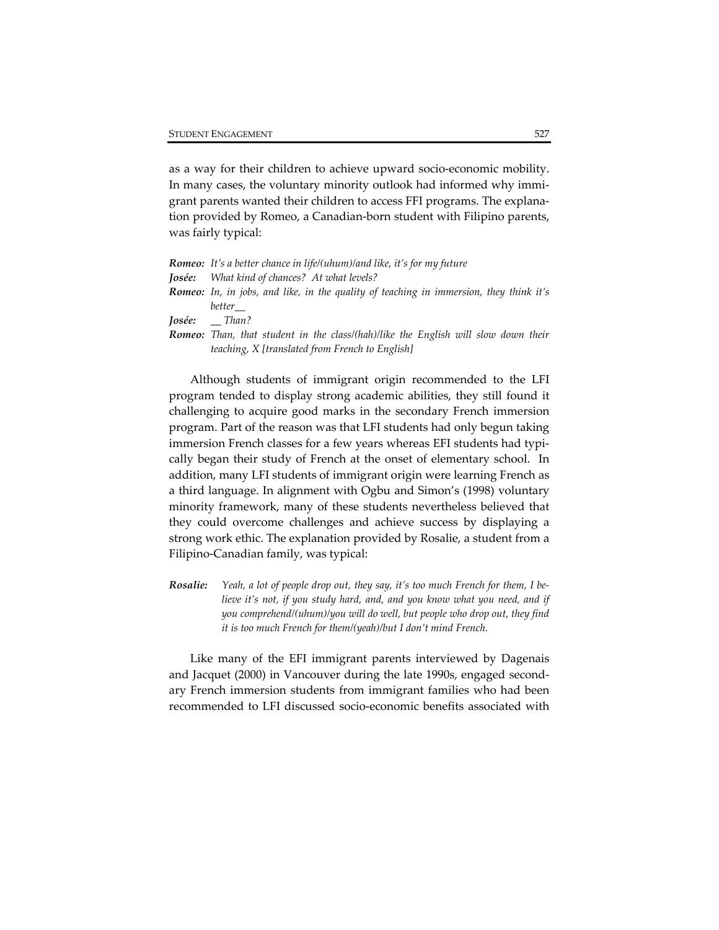as a way for their children to achieve upward socio‐economic mobility. In many cases, the voluntary minority outlook had informed why immi‐ grant parents wanted their children to access FFI programs. The explana‐ tion provided by Romeo, a Canadian‐born student with Filipino parents, was fairly typical:

| <b>Romeo:</b> It's a better chance in life/(uhum)/and like, it's for my future                |  |  |  |  |  |
|-----------------------------------------------------------------------------------------------|--|--|--|--|--|
| <b>Josée:</b> What kind of chances? At what levels?                                           |  |  |  |  |  |
| <b>Romeo:</b> In, in jobs, and like, in the quality of teaching in immersion, they think it's |  |  |  |  |  |
| better                                                                                        |  |  |  |  |  |
| <b>Josée:</b> Than?                                                                           |  |  |  |  |  |
| <b>Romeo:</b> Than, that student in the class/(hah)/like the English will slow down their     |  |  |  |  |  |
| teaching, X [translated from French to English]                                               |  |  |  |  |  |

Although students of immigrant origin recommended to the LFI program tended to display strong academic abilities, they still found it challenging to acquire good marks in the secondary French immersion program. Part of the reason was that LFI students had only begun taking immersion French classes for a few years whereas EFI students had typically began their study of French at the onset of elementary school. In addition, many LFI students of immigrant origin were learning French as a third language. In alignment with Ogbu and Simon's (1998) voluntary minority framework, many of these students nevertheless believed that they could overcome challenges and achieve success by displaying a strong work ethic. The explanation provided by Rosalie, a student from a Filipino‐Canadian family, was typical:

*Rosalie: Yeah, a lot of people drop out, they say, it's too much French for them, I be‐ lieve it's not, if you study hard, and, and you know what you need, and if you comprehend/(uhum)/you will do well, but people who drop out, they find it is too much French for them/(yeah)/but I don't mind French.*

Like many of the EFI immigrant parents interviewed by Dagenais and Jacquet (2000) in Vancouver during the late 1990s, engaged second‐ ary French immersion students from immigrant families who had been recommended to LFI discussed socio‐economic benefits associated with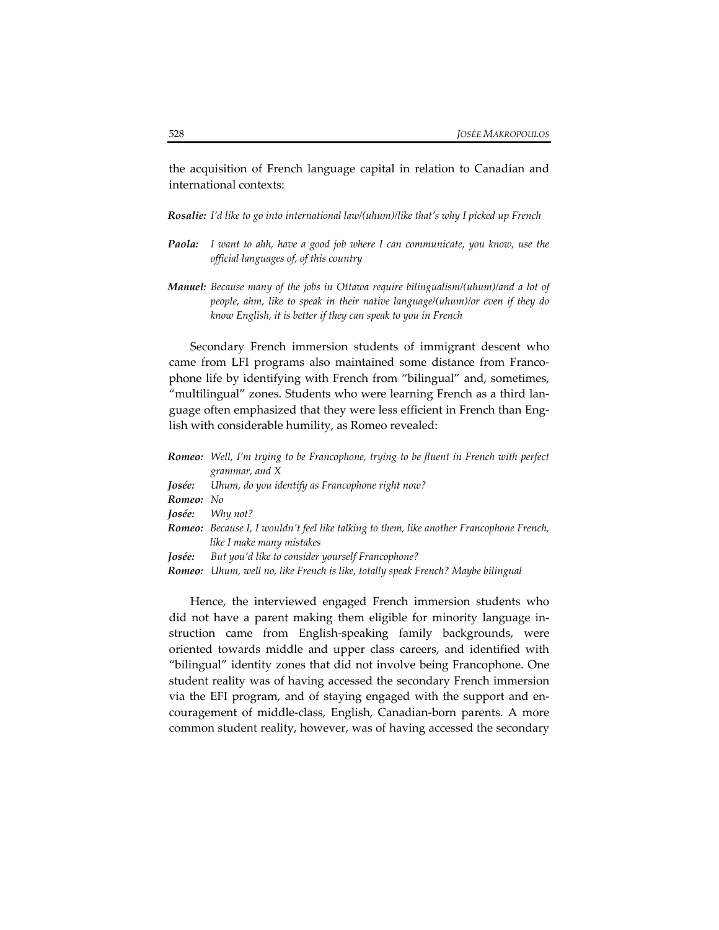the acquisition of French language capital in relation to Canadian and international contexts:

*Rosalie: I'd like to go into international law/(uhum)/like that's why I picked up French* 

- *Paola: I want to ahh, have a good job where I can communicate, you know, use the official languages of, of this country*
- *Manuel: Because many of the jobs in Ottawa require bilingualism/(uhum)/and a lot of people, ahm, like to speak in their native language/(uhum)/or even if they do know English, it is better if they can speak to you in French*

Secondary French immersion students of immigrant descent who came from LFI programs also maintained some distance from Franco‐ phone life by identifying with French from "bilingual" and, sometimes, "multilingual" zones. Students who were learning French as a third lan‐ guage often emphasized that they were less efficient in French than Eng‐ lish with considerable humility, as Romeo revealed:

|                      | <b>Romeo:</b> Well, I'm trying to be Francophone, trying to be fluent in French with perfect |
|----------------------|----------------------------------------------------------------------------------------------|
|                      | grammar, and X                                                                               |
| Josée:               | Uhum, do you identify as Francophone right now?                                              |
| <b>Romeo:</b> No     |                                                                                              |
| <i><b>Josée:</b></i> | Why not?                                                                                     |
|                      | Romeo: Because I, I wouldn't feel like talking to them, like another Francophone French,     |
|                      | like I make many mistakes                                                                    |
| Josée:               | But you'd like to consider yourself Francophone?                                             |
|                      | Romeo: Uhum, well no, like French is like, totally speak French? Maybe bilingual             |

Hence, the interviewed engaged French immersion students who did not have a parent making them eligible for minority language in‐ struction came from English‐speaking family backgrounds, were oriented towards middle and upper class careers, and identified with "bilingual" identity zones that did not involve being Francophone. One student reality was of having accessed the secondary French immersion via the EFI program, and of staying engaged with the support and en‐ couragement of middle‐class, English, Canadian‐born parents. A more common student reality, however, was of having accessed the secondary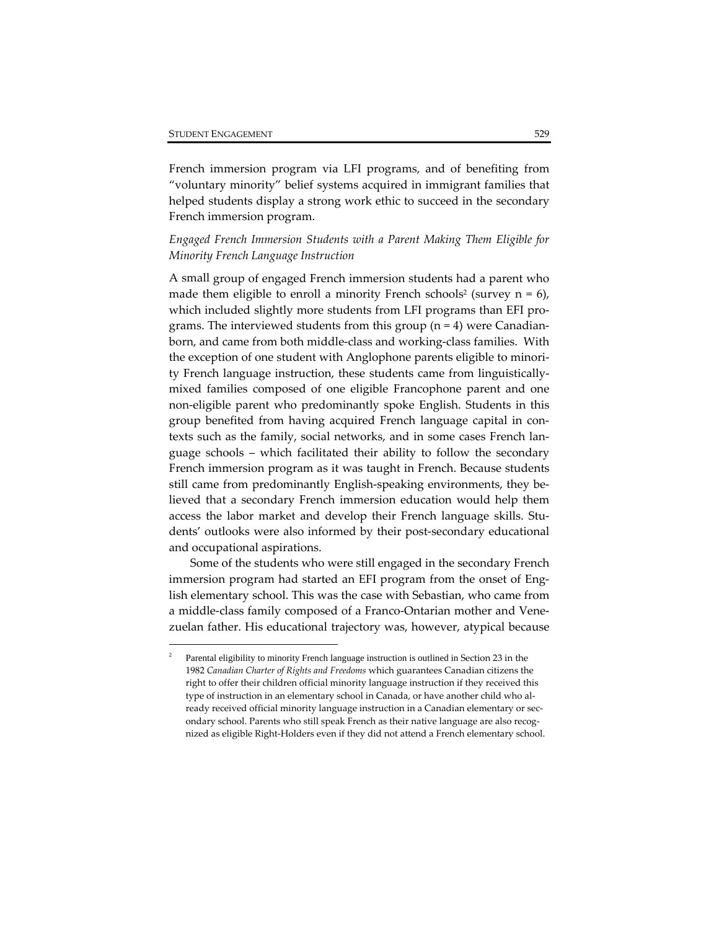$\overline{a}$ 2

French immersion program via LFI programs, and of benefiting from "voluntary minority" belief systems acquired in immigrant families that helped students display a strong work ethic to succeed in the secondary French immersion program.

# *Engaged French Immersion Students with a Parent Making Them Eligible for Minority French Language Instruction*

A small group of engaged French immersion students had a parent who made them eligible to enroll a minority French schools<sup>2</sup> (survey  $n = 6$ ), which included slightly more students from LFI programs than EFI programs. The interviewed students from this group  $(n = 4)$  were Canadianborn, and came from both middle‐class and working‐class families. With the exception of one student with Anglophone parents eligible to minori‐ ty French language instruction, these students came from linguistically‐ mixed families composed of one eligible Francophone parent and one non‐eligible parent who predominantly spoke English. Students in this group benefited from having acquired French language capital in con‐ texts such as the family, social networks, and in some cases French lan‐ guage schools – which facilitated their ability to follow the secondary French immersion program as it was taught in French. Because students still came from predominantly English‐speaking environments, they be‐ lieved that a secondary French immersion education would help them access the labor market and develop their French language skills. Students' outlooks were also informed by their post‐secondary educational and occupational aspirations.

Some of the students who were still engaged in the secondary French immersion program had started an EFI program from the onset of English elementary school. This was the case with Sebastian, who came from a middle‐class family composed of a Franco‐Ontarian mother and Vene‐ zuelan father. His educational trajectory was, however, atypical because

Parental eligibility to minority French language instruction is outlined in Section 23 in the 1982 *Canadian Charter of Rights and Freedoms* which guarantees Canadian citizens the right to offer their children official minority language instruction if they received this type of instruction in an elementary school in Canada, or have another child who already received official minority language instruction in a Canadian elementary or secondary school. Parents who still speak French as their native language are also recog‐ nized as eligible Right‐Holders even if they did not attend a French elementary school.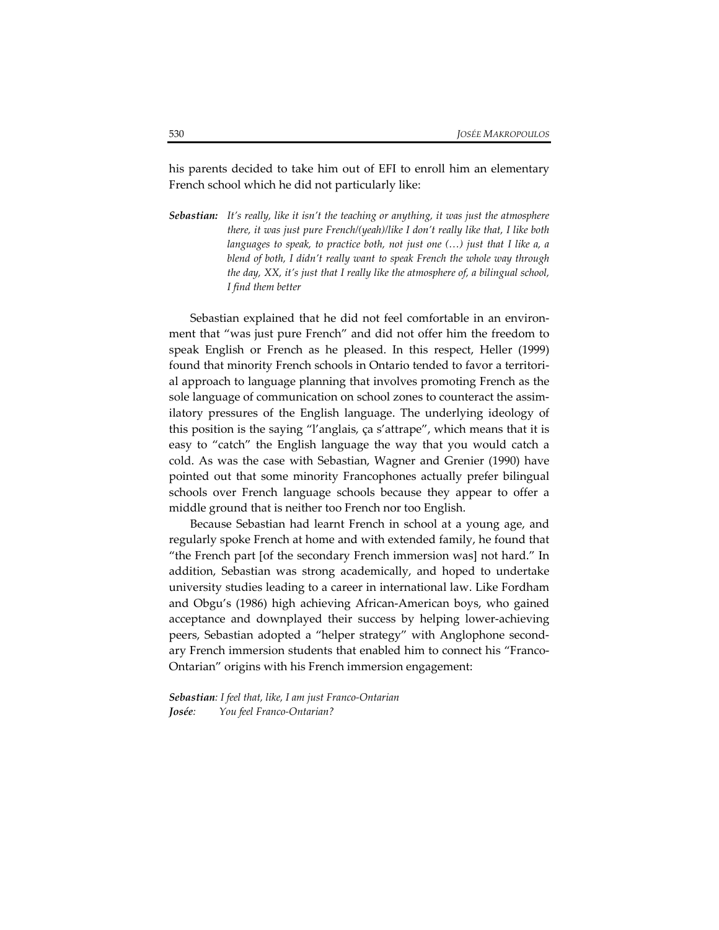his parents decided to take him out of EFI to enroll him an elementary French school which he did not particularly like:

*Sebastian: It's really, like it isn't the teaching or anything, it was just the atmosphere there, it was just pure French/(yeah)/like I don't really like that, I like both languages to speak, to practice both, not just one (…) just that I like a, a blend of both, I didn't really want to speak French the whole way through the day, XX, it's just that I really like the atmosphere of, a bilingual school, I find them better*

Sebastian explained that he did not feel comfortable in an environment that "was just pure French" and did not offer him the freedom to speak English or French as he pleased. In this respect, Heller (1999) found that minority French schools in Ontario tended to favor a territori‐ al approach to language planning that involves promoting French as the sole language of communication on school zones to counteract the assim‐ ilatory pressures of the English language. The underlying ideology of this position is the saying "l'anglais, ça s'attrape", which means that it is easy to "catch" the English language the way that you would catch a cold. As was the case with Sebastian, Wagner and Grenier (1990) have pointed out that some minority Francophones actually prefer bilingual schools over French language schools because they appear to offer a middle ground that is neither too French nor too English.

Because Sebastian had learnt French in school at a young age, and regularly spoke French at home and with extended family, he found that "the French part [of the secondary French immersion was] not hard." In addition, Sebastian was strong academically, and hoped to undertake university studies leading to a career in international law. Like Fordham and Obgu's (1986) high achieving African‐American boys, who gained acceptance and downplayed their success by helping lower‐achieving peers, Sebastian adopted a "helper strategy" with Anglophone second‐ ary French immersion students that enabled him to connect his "Franco-Ontarian" origins with his French immersion engagement:

*Sebastian: I feel that, like, I am just Franco‐Ontarian Josée: You feel Franco‐Ontarian?*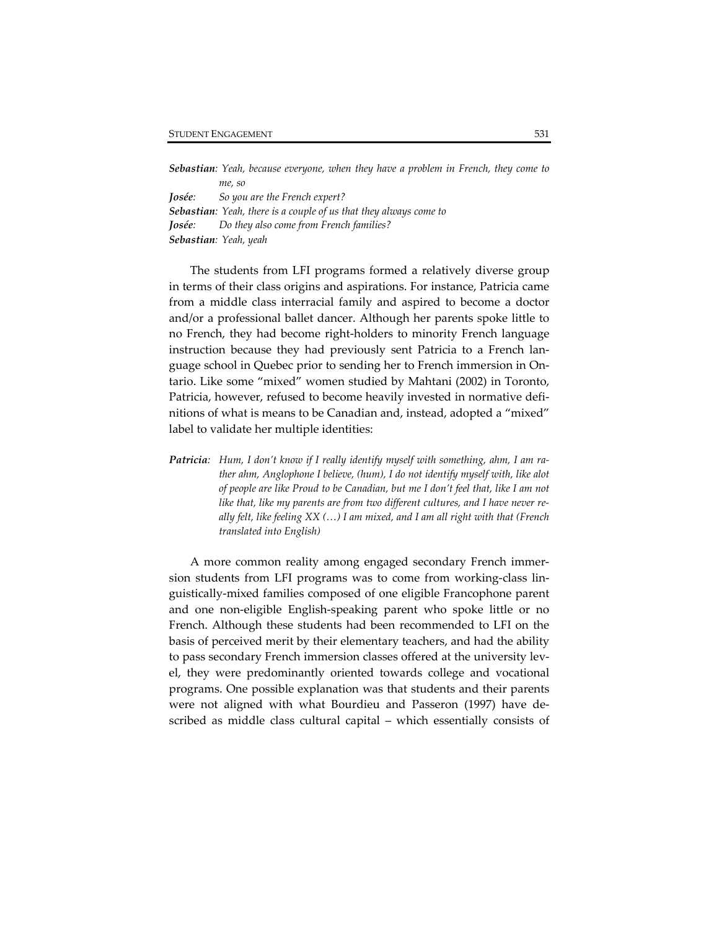*Sebastian: Yeah, because everyone, when they have a problem in French, they come to me, so Josée: So you are the French expert? Sebastian: Yeah, there is a couple of us that they always come to Josée: Do they also come from French families? Sebastian: Yeah, yeah*

The students from LFI programs formed a relatively diverse group in terms of their class origins and aspirations. For instance, Patricia came from a middle class interracial family and aspired to become a doctor and/or a professional ballet dancer. Although her parents spoke little to no French, they had become right‐holders to minority French language instruction because they had previously sent Patricia to a French lan‐ guage school in Quebec prior to sending her to French immersion in On‐ tario. Like some "mixed" women studied by Mahtani (2002) in Toronto, Patricia, however, refused to become heavily invested in normative defi‐ nitions of what is means to be Canadian and, instead, adopted a "mixed" label to validate her multiple identities:

*Patricia: Hum, I don't know if I really identify myself with something, ahm, I am ra‐ ther ahm, Anglophone I believe, (hum), I do not identify myself with, like alot of people are like Proud to be Canadian, but me I don't feel that, like I am not like that, like my parents are from two different cultures, and I have never re‐ ally felt, like feeling XX (…) I am mixed, and I am all right with that (French translated into English)*

A more common reality among engaged secondary French immer‐ sion students from LFI programs was to come from working‐class lin‐ guistically‐mixed families composed of one eligible Francophone parent and one non‐eligible English‐speaking parent who spoke little or no French. Although these students had been recommended to LFI on the basis of perceived merit by their elementary teachers, and had the ability to pass secondary French immersion classes offered at the university level, they were predominantly oriented towards college and vocational programs. One possible explanation was that students and their parents were not aligned with what Bourdieu and Passeron (1997) have de‐ scribed as middle class cultural capital – which essentially consists of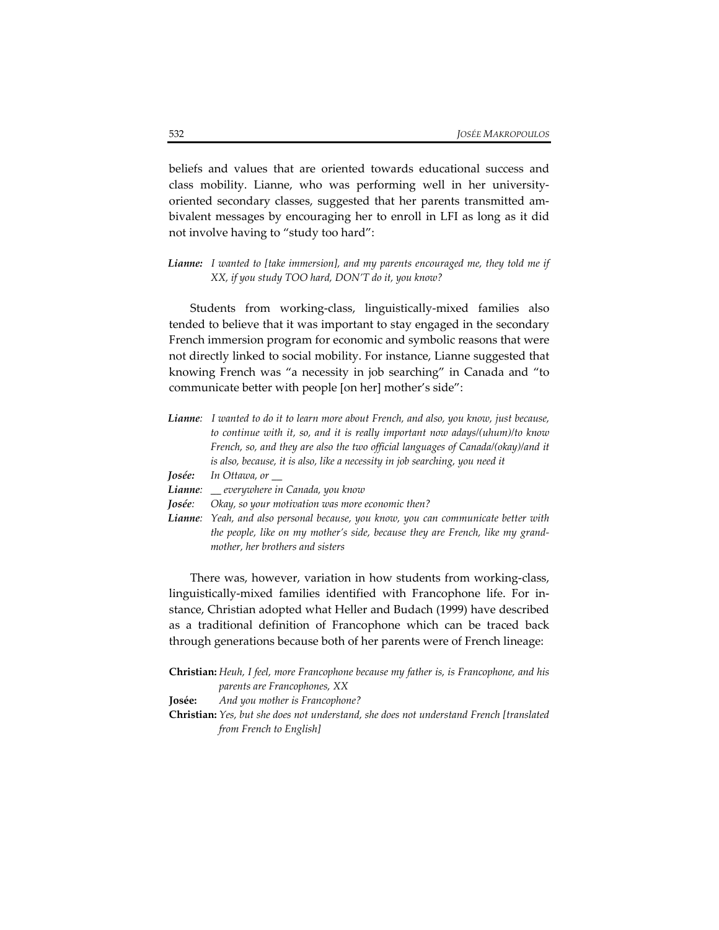beliefs and values that are oriented towards educational success and class mobility. Lianne, who was performing well in her university‐ oriented secondary classes, suggested that her parents transmitted am‐ bivalent messages by encouraging her to enroll in LFI as long as it did not involve having to "study too hard":

## *Lianne: I wanted to [take immersion], and my parents encouraged me, they told me if XX, if you study TOO hard, DON'T do it, you know?*

Students from working‐class, linguistically‐mixed families also tended to believe that it was important to stay engaged in the secondary French immersion program for economic and symbolic reasons that were not directly linked to social mobility. For instance, Lianne suggested that knowing French was "a necessity in job searching" in Canada and "to communicate better with people [on her] mother's side":

|                      | <b>Lianne</b> : I wanted to do it to learn more about French, and also, you know, just because, |  |  |  |  |  |
|----------------------|-------------------------------------------------------------------------------------------------|--|--|--|--|--|
|                      | to continue with it, so, and it is really important now adays/(uhum)/to know                    |  |  |  |  |  |
|                      | French, so, and they are also the two official languages of Canada/(okay)/and it                |  |  |  |  |  |
|                      | is also, because, it is also, like a necessity in job searching, you need it                    |  |  |  |  |  |
| Josée:               | In Ottawa, or                                                                                   |  |  |  |  |  |
|                      | <b>Lianne:</b> everywhere in Canada, you know                                                   |  |  |  |  |  |
| <i><b>Josée:</b></i> | Okay, so your motivation was more economic then?                                                |  |  |  |  |  |
|                      | Lianne: Yeah, and also personal because, you know, you can communicate better with              |  |  |  |  |  |
|                      | the people, like on my mother's side, because they are French, like my grand-                   |  |  |  |  |  |
|                      | mother, her brothers and sisters                                                                |  |  |  |  |  |

There was, however, variation in how students from working‐class, linguistically‐mixed families identified with Francophone life. For in‐ stance, Christian adopted what Heller and Budach (1999) have described as a traditional definition of Francophone which can be traced back through generations because both of her parents were of French lineage:

| Christian: Heuh, I feel, more Francophone because my father is, is Francophone, and his |  |  |
|-----------------------------------------------------------------------------------------|--|--|
| parents are Francophones, XX                                                            |  |  |

- **Josée:** *And you mother is Francophone?*
- **Christian:** *Yes, but she does not understand, she does not understand French [translated from French to English]*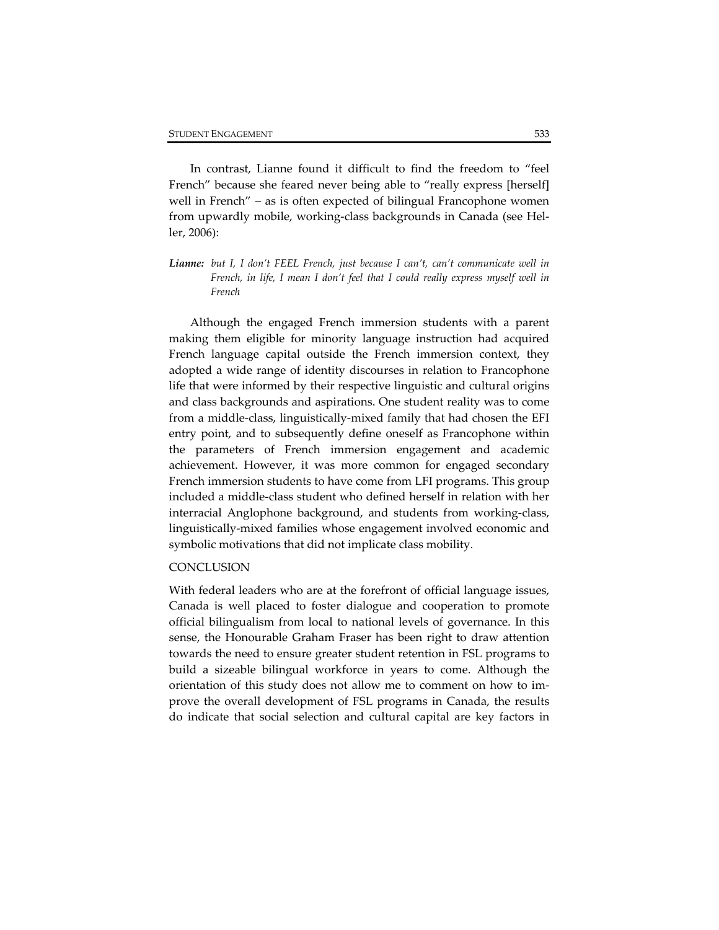In contrast, Lianne found it difficult to find the freedom to "feel French" because she feared never being able to "really express [herself] well in French" – as is often expected of bilingual Francophone women from upwardly mobile, working‐class backgrounds in Canada (see Hel‐ ler, 2006):

## *Lianne: but I, I don't FEEL French, just because I can't, can't communicate well in French, in life, I mean I don't feel that I could really express myself well in French*

Although the engaged French immersion students with a parent making them eligible for minority language instruction had acquired French language capital outside the French immersion context, they adopted a wide range of identity discourses in relation to Francophone life that were informed by their respective linguistic and cultural origins and class backgrounds and aspirations. One student reality was to come from a middle‐class, linguistically‐mixed family that had chosen the EFI entry point, and to subsequently define oneself as Francophone within the parameters of French immersion engagement and academic achievement. However, it was more common for engaged secondary French immersion students to have come from LFI programs. This group included a middle‐class student who defined herself in relation with her interracial Anglophone background, and students from working‐class, linguistically‐mixed families whose engagement involved economic and symbolic motivations that did not implicate class mobility.

## **CONCLUSION**

With federal leaders who are at the forefront of official language issues, Canada is well placed to foster dialogue and cooperation to promote official bilingualism from local to national levels of governance. In this sense, the Honourable Graham Fraser has been right to draw attention towards the need to ensure greater student retention in FSL programs to build a sizeable bilingual workforce in years to come. Although the orientation of this study does not allow me to comment on how to im‐ prove the overall development of FSL programs in Canada, the results do indicate that social selection and cultural capital are key factors in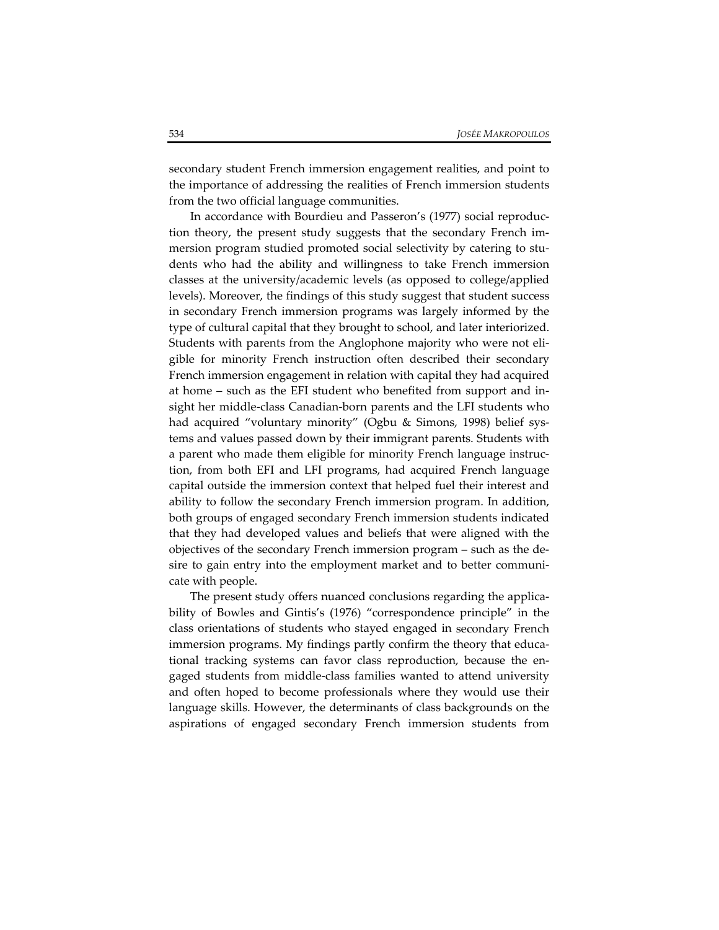secondary student French immersion engagement realities, and point to the importance of addressing the realities of French immersion students from the two official language communities.

In accordance with Bourdieu and Passeron's (1977) social reproduc‐ tion theory, the present study suggests that the secondary French im‐ mersion program studied promoted social selectivity by catering to students who had the ability and willingness to take French immersion classes at the university/academic levels (as opposed to college/applied levels). Moreover, the findings of this study suggest that student success in secondary French immersion programs was largely informed by the type of cultural capital that they brought to school, and later interiorized. Students with parents from the Anglophone majority who were not eli‐ gible for minority French instruction often described their secondary French immersion engagement in relation with capital they had acquired at home – such as the EFI student who benefited from support and in‐ sight her middle‐class Canadian‐born parents and the LFI students who had acquired "voluntary minority" (Ogbu & Simons, 1998) belief systems and values passed down by their immigrant parents. Students with a parent who made them eligible for minority French language instruc‐ tion, from both EFI and LFI programs, had acquired French language capital outside the immersion context that helped fuel their interest and ability to follow the secondary French immersion program. In addition, both groups of engaged secondary French immersion students indicated that they had developed values and beliefs that were aligned with the objectives of the secondary French immersion program – such as the de‐ sire to gain entry into the employment market and to better communicate with people.

The present study offers nuanced conclusions regarding the applicability of Bowles and Gintis's (1976) "correspondence principle" in the class orientations of students who stayed engaged in secondary French immersion programs. My findings partly confirm the theory that educational tracking systems can favor class reproduction, because the en‐ gaged students from middle‐class families wanted to attend university and often hoped to become professionals where they would use their language skills. However, the determinants of class backgrounds on the aspirations of engaged secondary French immersion students from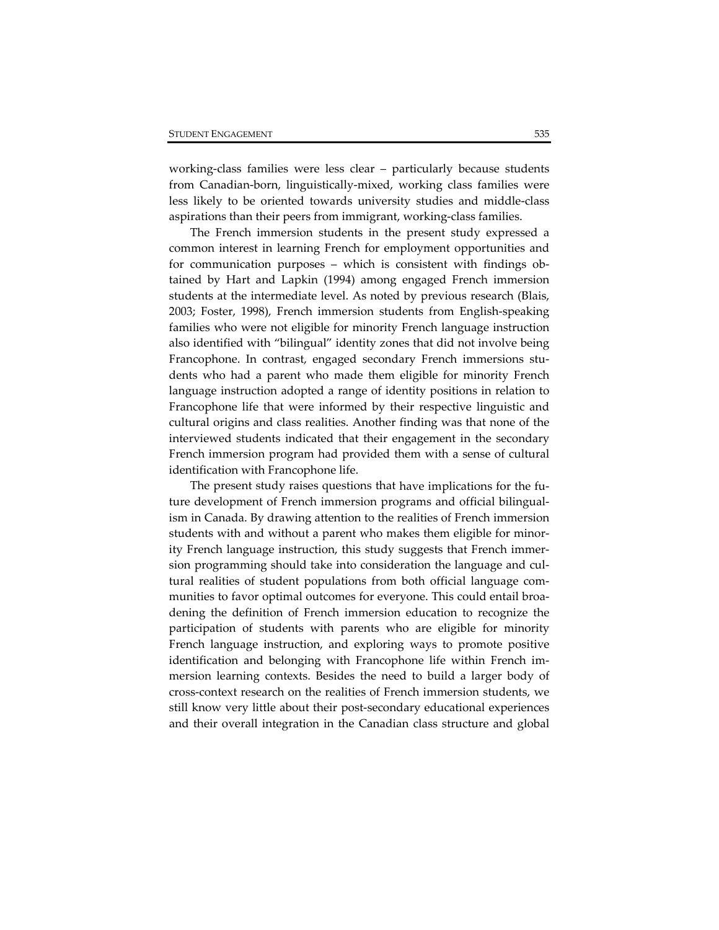working‐class families were less clear – particularly because students from Canadian‐born, linguistically‐mixed, working class families were less likely to be oriented towards university studies and middle‐class aspirations than their peers from immigrant, working‐class families.

The French immersion students in the present study expressed a common interest in learning French for employment opportunities and for communication purposes – which is consistent with findings obtained by Hart and Lapkin (1994) among engaged French immersion students at the intermediate level. As noted by previous research (Blais, 2003; Foster, 1998), French immersion students from English‐speaking families who were not eligible for minority French language instruction also identified with "bilingual" identity zones that did not involve being Francophone. In contrast, engaged secondary French immersions students who had a parent who made them eligible for minority French language instruction adopted a range of identity positions in relation to Francophone life that were informed by their respective linguistic and cultural origins and class realities. Another finding was that none of the interviewed students indicated that their engagement in the secondary French immersion program had provided them with a sense of cultural identification with Francophone life.

The present study raises questions that have implications for the future development of French immersion programs and official bilingualism in Canada. By drawing attention to the realities of French immersion students with and without a parent who makes them eligible for minor‐ ity French language instruction, this study suggests that French immer‐ sion programming should take into consideration the language and cul‐ tural realities of student populations from both official language communities to favor optimal outcomes for everyone. This could entail broa‐ dening the definition of French immersion education to recognize the participation of students with parents who are eligible for minority French language instruction, and exploring ways to promote positive identification and belonging with Francophone life within French im‐ mersion learning contexts. Besides the need to build a larger body of cross‐context research on the realities of French immersion students, we still know very little about their post‐secondary educational experiences and their overall integration in the Canadian class structure and global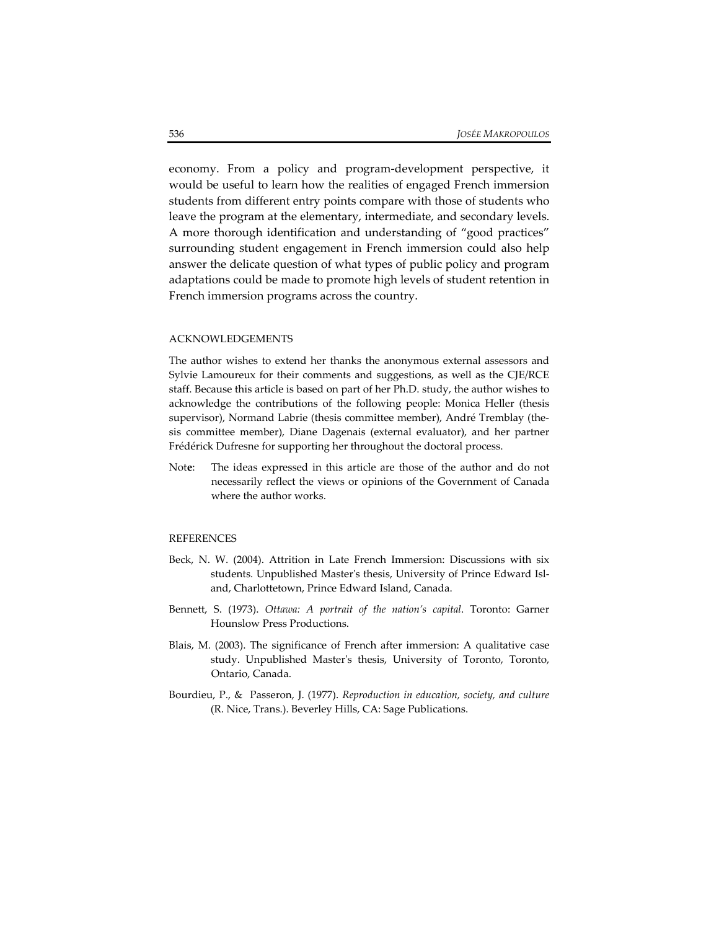economy. From a policy and program‐development perspective, it would be useful to learn how the realities of engaged French immersion students from different entry points compare with those of students who leave the program at the elementary, intermediate, and secondary levels. A more thorough identification and understanding of "good practices" surrounding student engagement in French immersion could also help answer the delicate question of what types of public policy and program adaptations could be made to promote high levels of student retention in French immersion programs across the country.

#### ACKNOWLEDGEMENTS

The author wishes to extend her thanks the anonymous external assessors and Sylvie Lamoureux for their comments and suggestions, as well as the CJE/RCE staff. Because this article is based on part of her Ph.D. study, the author wishes to acknowledge the contributions of the following people: Monica Heller (thesis supervisor), Normand Labrie (thesis committee member), André Tremblay (thesis committee member), Diane Dagenais (external evaluator), and her partner Frédérick Dufresne for supporting her throughout the doctoral process.

Not**e**: The ideas expressed in this article are those of the author and do not necessarily reflect the views or opinions of the Government of Canada where the author works.

### **REFERENCES**

- Beck, N. W. (2004). Attrition in Late French Immersion: Discussions with six students. Unpublished Master's thesis, University of Prince Edward Island, Charlottetown, Prince Edward Island, Canada.
- Bennett, S. (1973). *Ottawa: A portrait of the nation's capital*. Toronto: Garner Hounslow Press Productions.
- Blais, M. (2003). The significance of French after immersion: A qualitative case study. Unpublished Masterʹs thesis, University of Toronto, Toronto, Ontario, Canada.
- Bourdieu, P., & Passeron, J. (1977). *Reproduction in education, society, and culture* (R. Nice, Trans.). Beverley Hills, CA: Sage Publications.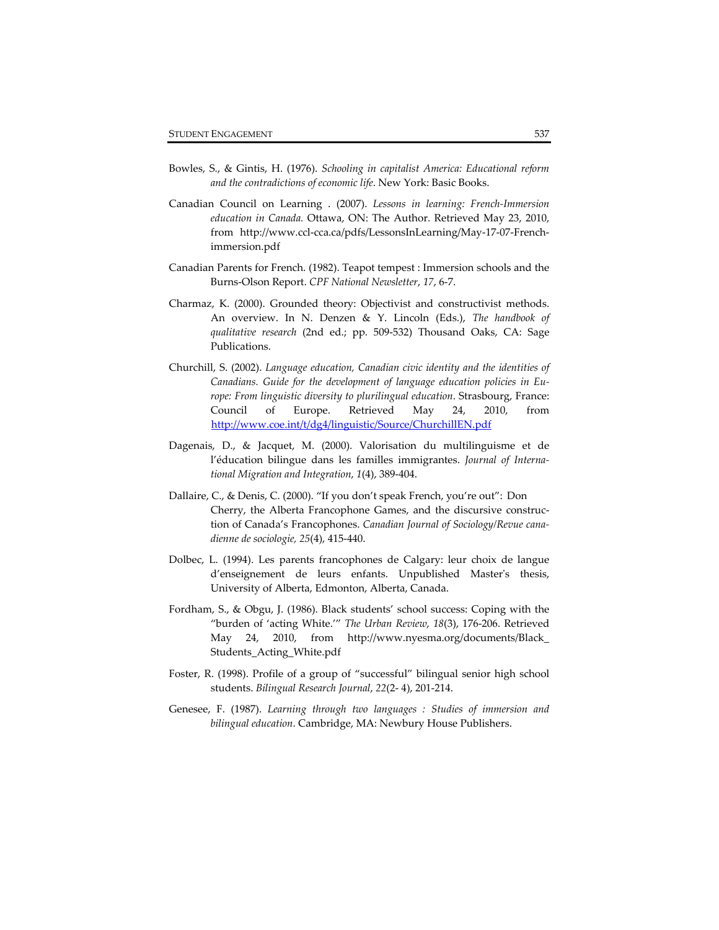- Bowles, S., & Gintis, H. (1976). *Schooling in capitalist America: Educational reform and the contradictions of economic life*. New York: Basic Books.
- Canadian Council on Learning . (2007). *Lessons in learning: French‐Immersion education in Canada.* Ottawa, ON: The Author. Retrieved May 23, 2010, from http://www.ccl‐cca.ca/pdfs/LessonsInLearning/May‐17‐07‐French‐ immersion.pdf
- Canadian Parents for French. (1982). Teapot tempest : Immersion schools and the Burns‐Olson Report. *CPF National Newsletter*, *17*, 6‐7.
- Charmaz, K. (2000). Grounded theory: Objectivist and constructivist methods. An overview. In N. Denzen & Y. Lincoln (Eds.), *The handbook of qualitative research* (2nd ed.; pp. 509‐532) Thousand Oaks, CA: Sage Publications.
- Churchill, S. (2002). *Language education, Canadian civic identity and the identities of Canadians. Guide for the development of language education policies in Eu‐ rope: From linguistic diversity to plurilingual education*. Strasbourg, France: Council of Europe. Retrieved May 24, 2010, from http://www.coe.int/t/dg4/linguistic/Source/ChurchillEN.pdf
- Dagenais, D., & Jacquet, M. (2000). Valorisation du multilinguisme et de l'éducation bilingue dans les familles immigrantes. *Journal of Interna‐ tional Migration and Integration*, *1*(4), 389‐404.
- Dallaire, C., & Denis, C. (2000). "If you don't speak French, you're out": Don Cherry, the Alberta Francophone Games, and the discursive construc‐ tion of Canada's Francophones. *Canadian Journal of Sociology/Revue cana‐ dienne de sociologie, 25*(4), 415‐440.
- Dolbec, L. (1994). Les parents francophones de Calgary: leur choix de langue d'enseignement de leurs enfants. Unpublished Master's thesis, University of Alberta, Edmonton, Alberta, Canada.
- Fordham, S., & Obgu, J. (1986). Black students' school success: Coping with the "burden of 'acting White.'" *The Urban Review*, *18*(3), 176‐206. Retrieved May 24, 2010, from http://www.nyesma.org/documents/Black\_ Students\_Acting\_White.pdf
- Foster, R. (1998). Profile of a group of "successful" bilingual senior high school students. *Bilingual Research Journal*, *22*(2‐ 4), 201‐214.
- Genesee, F. (1987). *Learning through two languages : Studies of immersion and bilingual education*. Cambridge, MA: Newbury House Publishers.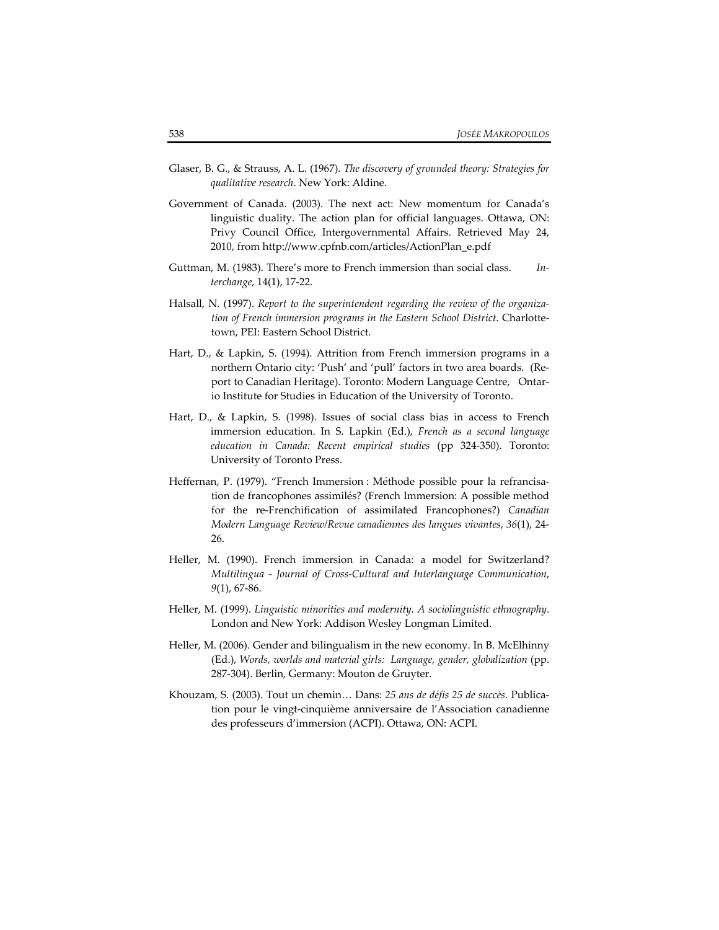- Glaser, B. G., & Strauss, A. L. (1967). *The discovery of grounded theory: Strategies for qualitative research*. New York: Aldine.
- Government of Canada. (2003). The next act: New momentum for Canada's linguistic duality. The action plan for official languages. Ottawa, ON: Privy Council Office, Intergovernmental Affairs. Retrieved May 24, 2010, from http://www.cpfnb.com/articles/ActionPlan\_e.pdf
- Guttman, M. (1983). There's more to French immersion than social class. *In‐ terchange*, 14(1), 17‐22.
- Halsall, N. (1997). *Report to the superintendent regarding the review of the organiza‐ tion of French immersion programs in the Eastern School District*. Charlotte‐ town, PEI: Eastern School District.
- Hart, D., & Lapkin, S. (1994). Attrition from French immersion programs in a northern Ontario city: 'Push' and 'pull' factors in two area boards. (Re‐ port to Canadian Heritage). Toronto: Modern Language Centre, Ontar‐ io Institute for Studies in Education of the University of Toronto.
- Hart, D., & Lapkin, S. (1998). Issues of social class bias in access to French immersion education. In S. Lapkin (Ed.), *French as a second language education in Canada: Recent empirical studies* (pp 324‐350). Toronto: University of Toronto Press.
- Heffernan, P. (1979). "French Immersion : Méthode possible pour la refrancisation de francophones assimilés? (French Immersion: A possible method for the re-Frenchification of assimilated Francophones?) *Canadian Modern Language Review/Revue canadiennes des langues vivantes*, *36*(1), 24‐ 26.
- Heller, M. (1990). French immersion in Canada: a model for Switzerland? *Multilingua ‐ Journal of Cross‐Cultural and Interlanguage Communication*, *9*(1), 67‐86.
- Heller, M. (1999). *Linguistic minorities and modernity. A sociolinguistic ethnography*. London and New York: Addison Wesley Longman Limited.
- Heller, M. (2006). Gender and bilingualism in the new economy. In B. McElhinny (Ed.), *Words, worlds and material girls: Language, gender, globalization* (pp. 287‐304). Berlin, Germany: Mouton de Gruyter.
- Khouzam, S. (2003). Tout un chemin… Dans: *25 ans de défis 25 de succès*. Publica‐ tion pour le vingt-cinquième anniversaire de l'Association canadienne des professeurs d'immersion (ACPI). Ottawa, ON: ACPI.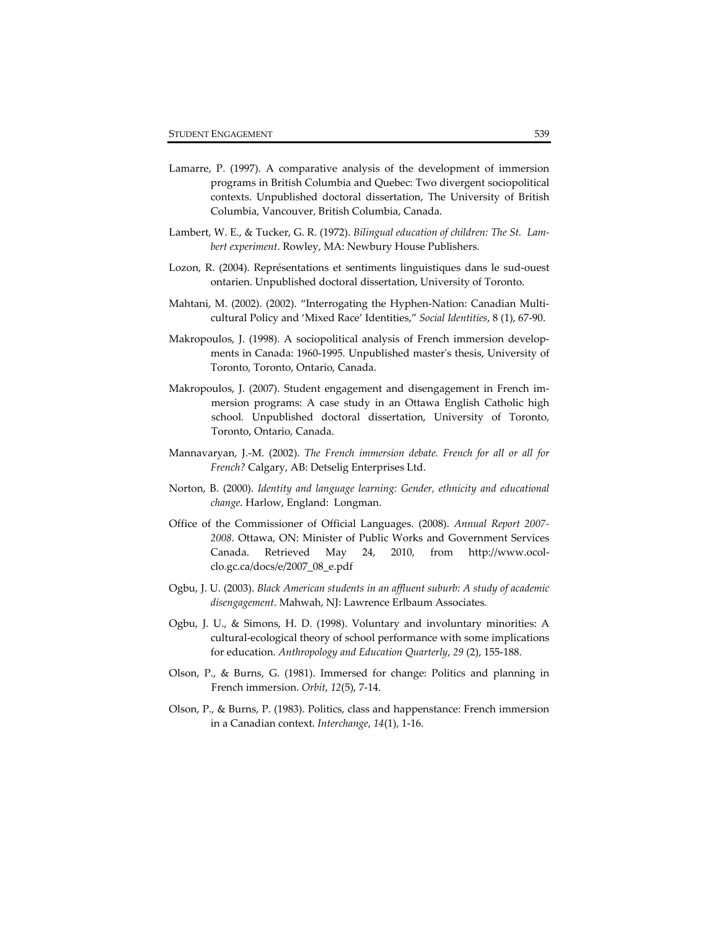- Lamarre, P. (1997). A comparative analysis of the development of immersion programs in British Columbia and Quebec: Two divergent sociopolitical contexts. Unpublished doctoral dissertation, The University of British Columbia, Vancouver, British Columbia, Canada.
- Lambert, W. E., & Tucker, G. R. (1972). *Bilingual education of children: The St. Lam‐ bert experiment*. Rowley, MA: Newbury House Publishers.
- Lozon, R. (2004). Représentations et sentiments linguistiques dans le sud‐ouest ontarien. Unpublished doctoral dissertation, University of Toronto.
- Mahtani, M. (2002). (2002). "Interrogating the Hyphen-Nation: Canadian Multicultural Policy and 'Mixed Race' Identities," *Social Identities*, 8 (1), 67‐90.
- Makropoulos, J. (1998). A sociopolitical analysis of French immersion develop‐ ments in Canada: 1960‐1995. Unpublished masterʹs thesis, University of Toronto, Toronto, Ontario, Canada.
- Makropoulos, J. (2007). Student engagement and disengagement in French im‐ mersion programs: A case study in an Ottawa English Catholic high school*.* Unpublished doctoral dissertation, University of Toronto, Toronto, Ontario, Canada.
- Mannavaryan, J.‐M. (2002). *The French immersion debate. French for all or all for French?* Calgary, AB: Detselig Enterprises Ltd.
- Norton, B. (2000). *Identity and language learning: Gender, ethnicity and educational change*. Harlow, England: Longman.
- Office of the Commissioner of Official Languages. (2008). *Annual Report 2007‐ 2008*. Ottawa, ON: Minister of Public Works and Government Services Canada. Retrieved May 24, 2010, from http://www.ocol‐ clo.gc.ca/docs/e/2007\_08\_e.pdf
- Ogbu, J. U. (2003). *Black American students in an affluent suburb: A study of academic disengagement*. Mahwah, NJ: Lawrence Erlbaum Associates.
- Ogbu, J. U., & Simons, H. D. (1998). Voluntary and involuntary minorities: A cultural‐ecological theory of school performance with some implications for education. *Anthropology and Education Quarterly*, *29* (2), 155‐188.
- Olson, P., & Burns, G. (1981). Immersed for change: Politics and planning in French immersion. *Orbit*, *12*(5), 7‐14.
- Olson, P., & Burns, P. (1983). Politics, class and happenstance: French immersion in a Canadian context. *Interchange*, *14*(1), 1‐16.